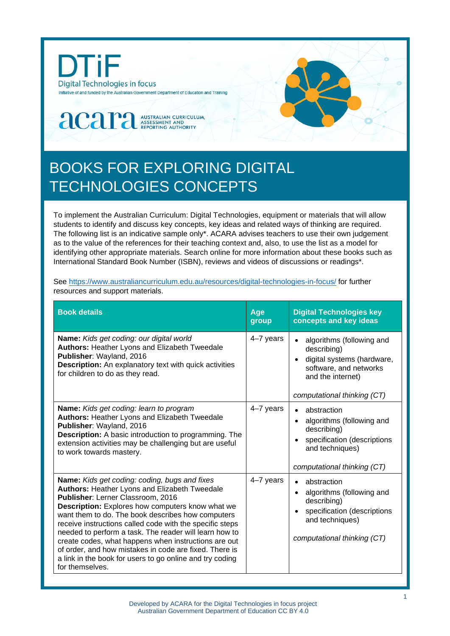

## BOOKS FOR EXPLORING DIGITAL TECHNOLOGIES CONCEPTS

To implement the Australian Curriculum: Digital Technologies, equipment or materials that will allow students to identify and discuss key concepts, key ideas and related ways of thinking are required. The following list is an indicative sample only\*. ACARA advises teachers to use their own judgement as to the value of the references for their teaching context and, also, to use the list as a model for identifying other appropriate materials. Search online for more information about these books such as International Standard Book Number (ISBN), reviews and videos of discussions or readings\*.

See<https://www.australiancurriculum.edu.au/resources/digital-technologies-in-focus/> for further resources and support materials.

| <b>Book details</b>                                                                                                                                                                                                                                                                                                                                                                                                                                                                                                                                                               | Age<br>group | <b>Digital Technologies key</b><br>concepts and key ideas                                                                                            |
|-----------------------------------------------------------------------------------------------------------------------------------------------------------------------------------------------------------------------------------------------------------------------------------------------------------------------------------------------------------------------------------------------------------------------------------------------------------------------------------------------------------------------------------------------------------------------------------|--------------|------------------------------------------------------------------------------------------------------------------------------------------------------|
| Name: Kids get coding: our digital world<br>Authors: Heather Lyons and Elizabeth Tweedale<br>Publisher: Wayland, 2016<br><b>Description:</b> An explanatory text with quick activities<br>for children to do as they read.                                                                                                                                                                                                                                                                                                                                                        | 4-7 years    | algorithms (following and<br>describing)<br>digital systems (hardware,<br>software, and networks<br>and the internet)<br>computational thinking (CT) |
| Name: Kids get coding: learn to program<br><b>Authors: Heather Lyons and Elizabeth Tweedale</b><br>Publisher: Wayland, 2016<br><b>Description:</b> A basic introduction to programming. The<br>extension activities may be challenging but are useful<br>to work towards mastery.                                                                                                                                                                                                                                                                                                 | 4-7 years    | abstraction<br>algorithms (following and<br>describing)<br>specification (descriptions<br>and techniques)<br>computational thinking (CT)             |
| <b>Name:</b> Kids get coding: coding, bugs and fixes<br>Authors: Heather Lyons and Elizabeth Tweedale<br>Publisher: Lerner Classroom, 2016<br><b>Description:</b> Explores how computers know what we<br>want them to do. The book describes how computers<br>receive instructions called code with the specific steps<br>needed to perform a task. The reader will learn how to<br>create codes, what happens when instructions are out<br>of order, and how mistakes in code are fixed. There is<br>a link in the book for users to go online and try coding<br>for themselves. | 4-7 years    | abstraction<br>algorithms (following and<br>describing)<br>specification (descriptions<br>and techniques)<br>computational thinking (CT)             |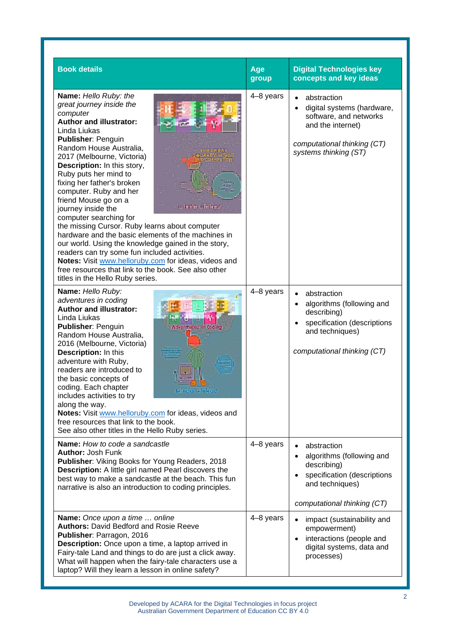| <b>Book details</b>                                                                                                                                                                                                                                                                                                                                                                                                                                                                                                                                                                                                                                                                                                                                                                                                                                          | Age<br>group | <b>Digital Technologies key</b><br>concepts and key ideas                                                                                        |
|--------------------------------------------------------------------------------------------------------------------------------------------------------------------------------------------------------------------------------------------------------------------------------------------------------------------------------------------------------------------------------------------------------------------------------------------------------------------------------------------------------------------------------------------------------------------------------------------------------------------------------------------------------------------------------------------------------------------------------------------------------------------------------------------------------------------------------------------------------------|--------------|--------------------------------------------------------------------------------------------------------------------------------------------------|
| Name: Hello Ruby: the<br>great journey inside the<br>Н<br>0<br>computer<br><b>Author and illustrator:</b><br><u>ئي</u><br>Linda Liukas<br><b>Publisher: Penguin</b><br>Random House Australia,<br>2017 (Melbourne, Victoria)<br><b>Description:</b> In this story,<br>Ruby puts her mind to<br>fixing her father's broken<br>ncludes<br>$a$ D <sub>IY</sub><br>computer. Ruby and her<br>omputer<br>friend Mouse go on a<br>journey inside the<br>Linda Liukas<br>computer searching for<br>the missing Cursor. Ruby learns about computer<br>hardware and the basic elements of the machines in<br>our world. Using the knowledge gained in the story,<br>readers can try some fun included activities.<br>Notes: Visit www.helloruby.com for ideas, videos and<br>free resources that link to the book. See also other<br>titles in the Hello Ruby series. | 4-8 years    | abstraction<br>digital systems (hardware,<br>software, and networks<br>and the internet)<br>computational thinking (CT)<br>systems thinking (ST) |
| Name: Hello Ruby:<br>adventures in coding<br><b>Author and illustrator:</b><br>Linda Liukas<br><b>Publisher: Penguin</b><br>Random House Australia,<br>2016 (Melbourne, Victoria)<br>Description: In this<br>adventure with Ruby,<br>readers are introduced to<br>the basic concepts of<br>coding. Each chapter<br>includes activities to try<br>along the way.<br>Notes: Visit www.helloruby.com for ideas, videos and<br>free resources that link to the book.<br>See also other titles in the Hello Ruby series.                                                                                                                                                                                                                                                                                                                                          | 4-8 years    | abstraction<br>algorithms (following and<br>describing)<br>specification (descriptions<br>and techniques)<br>computational thinking (CT)         |
| <b>Name:</b> How to code a sandcastle<br><b>Author: Josh Funk</b><br>Publisher: Viking Books for Young Readers, 2018<br>Description: A little girl named Pearl discovers the<br>best way to make a sandcastle at the beach. This fun<br>narrative is also an introduction to coding principles.                                                                                                                                                                                                                                                                                                                                                                                                                                                                                                                                                              | 4-8 years    | abstraction<br>algorithms (following and<br>describing)<br>specification (descriptions<br>and techniques)<br>computational thinking (CT)         |
| Name: Once upon a time  online<br><b>Authors: David Bedford and Rosie Reeve</b><br>Publisher: Parragon, 2016<br>Description: Once upon a time, a laptop arrived in<br>Fairy-tale Land and things to do are just a click away.<br>What will happen when the fairy-tale characters use a<br>laptop? Will they learn a lesson in online safety?                                                                                                                                                                                                                                                                                                                                                                                                                                                                                                                 | 4-8 years    | impact (sustainability and<br>empowerment)<br>interactions (people and<br>digital systems, data and<br>processes)                                |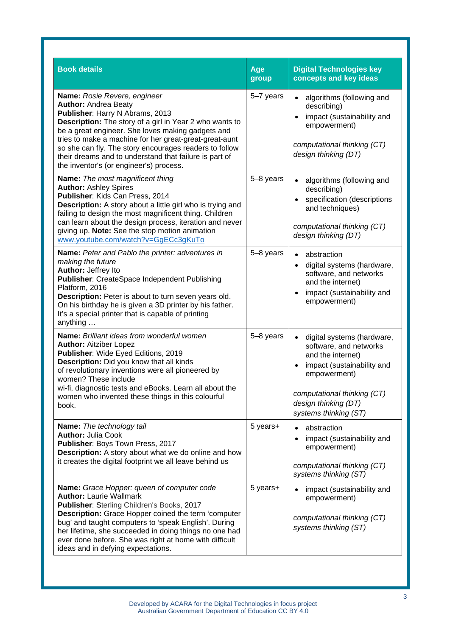| <b>Book details</b>                                                                                                                                                                                                                                                                                                                                                                                                                     | Age<br>group | <b>Digital Technologies key</b><br>concepts and key ideas                                                                                                                                                                         |
|-----------------------------------------------------------------------------------------------------------------------------------------------------------------------------------------------------------------------------------------------------------------------------------------------------------------------------------------------------------------------------------------------------------------------------------------|--------------|-----------------------------------------------------------------------------------------------------------------------------------------------------------------------------------------------------------------------------------|
| Name: Rosie Revere, engineer<br><b>Author: Andrea Beaty</b><br>Publisher: Harry N Abrams, 2013<br>Description: The story of a girl in Year 2 who wants to<br>be a great engineer. She loves making gadgets and<br>tries to make a machine for her great-great-great-aunt<br>so she can fly. The story encourages readers to follow<br>their dreams and to understand that failure is part of<br>the inventor's (or engineer's) process. | 5-7 years    | algorithms (following and<br>$\bullet$<br>describing)<br>impact (sustainability and<br>empowerment)<br>computational thinking (CT)<br>design thinking (DT)                                                                        |
| Name: The most magnificent thing<br><b>Author: Ashley Spires</b><br>Publisher: Kids Can Press, 2014<br>Description: A story about a little girl who is trying and<br>failing to design the most magnificent thing. Children<br>can learn about the design process, iteration and never<br>giving up. Note: See the stop motion animation<br>www.youtube.com/watch?v=GgECc3gKuTo                                                         | 5-8 years    | algorithms (following and<br>$\bullet$<br>describing)<br>specification (descriptions<br>$\bullet$<br>and techniques)<br>computational thinking (CT)<br>design thinking (DT)                                                       |
| Name: Peter and Pablo the printer: adventures in<br>making the future<br>Author: Jeffrey Ito<br>Publisher: CreateSpace Independent Publishing<br>Platform, 2016<br>Description: Peter is about to turn seven years old.<br>On his birthday he is given a 3D printer by his father.<br>It's a special printer that is capable of printing<br>anything                                                                                    | 5-8 years    | abstraction<br>$\bullet$<br>digital systems (hardware,<br>$\bullet$<br>software, and networks<br>and the internet)<br>impact (sustainability and<br>$\bullet$<br>empowerment)                                                     |
| Name: Brilliant ideas from wonderful women<br><b>Author: Aitziber Lopez</b><br>Publisher: Wide Eyed Editions, 2019<br>Description: Did you know that all kinds<br>of revolutionary inventions were all pioneered by<br>women? These include<br>wi-fi, diagnostic tests and eBooks. Learn all about the<br>women who invented these things in this colourful<br>book.                                                                    | 5-8 years    | digital systems (hardware,<br>$\bullet$<br>software, and networks<br>and the internet)<br>impact (sustainability and<br>$\bullet$<br>empowerment)<br>computational thinking (CT)<br>design thinking (DT)<br>systems thinking (ST) |
| Name: The technology tail<br><b>Author: Julia Cook</b><br>Publisher: Boys Town Press, 2017<br><b>Description:</b> A story about what we do online and how<br>it creates the digital footprint we all leave behind us                                                                                                                                                                                                                    | 5 years+     | abstraction<br>impact (sustainability and<br>empowerment)<br>computational thinking (CT)<br>systems thinking (ST)                                                                                                                 |
| Name: Grace Hopper: queen of computer code<br><b>Author: Laurie Wallmark</b><br>Publisher: Sterling Children's Books, 2017<br>Description: Grace Hopper coined the term 'computer<br>bug' and taught computers to 'speak English'. During<br>her lifetime, she succeeded in doing things no one had<br>ever done before. She was right at home with difficult<br>ideas and in defying expectations.                                     | 5 years+     | impact (sustainability and<br>empowerment)<br>computational thinking (CT)<br>systems thinking (ST)                                                                                                                                |